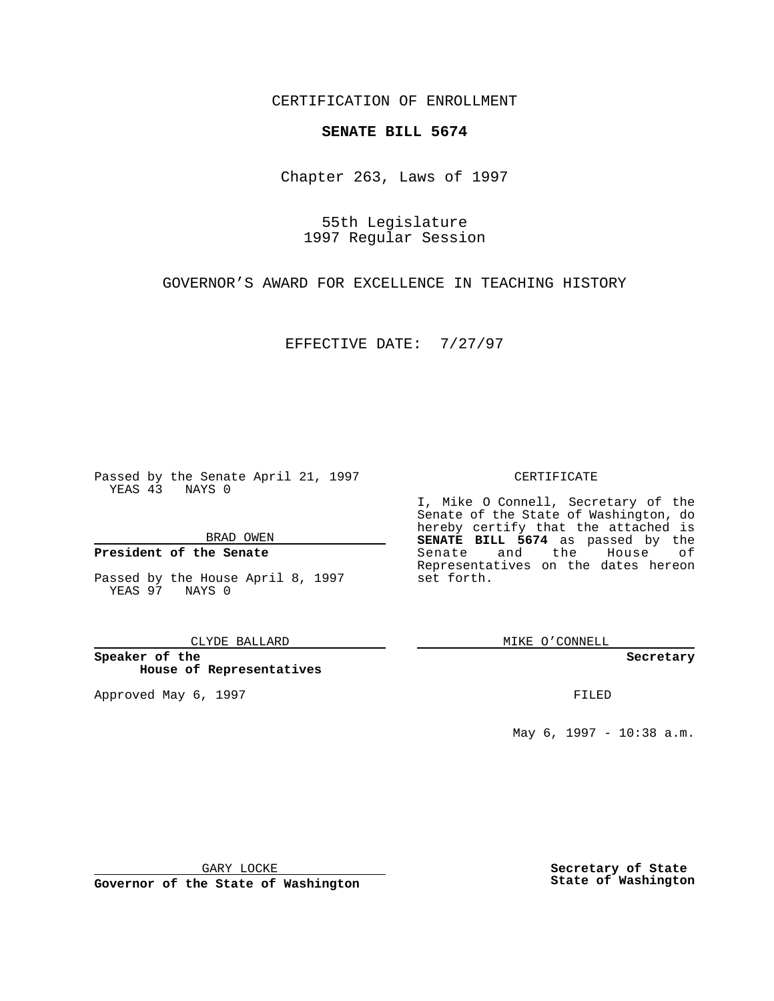CERTIFICATION OF ENROLLMENT

# **SENATE BILL 5674**

Chapter 263, Laws of 1997

55th Legislature 1997 Regular Session

GOVERNOR'S AWARD FOR EXCELLENCE IN TEACHING HISTORY

EFFECTIVE DATE: 7/27/97

Passed by the Senate April 21, 1997 YEAS 43 NAYS 0

BRAD OWEN

### **President of the Senate**

Passed by the House April 8, 1997 YEAS 97 NAYS 0

CLYDE BALLARD

**Speaker of the House of Representatives**

Approved May 6, 1997 **FILED** 

### CERTIFICATE

I, Mike O Connell, Secretary of the Senate of the State of Washington, do hereby certify that the attached is **SENATE BILL 5674** as passed by the Senate and the House of Representatives on the dates hereon set forth.

MIKE O'CONNELL

#### **Secretary**

May 6, 1997 - 10:38 a.m.

GARY LOCKE

**Governor of the State of Washington**

**Secretary of State State of Washington**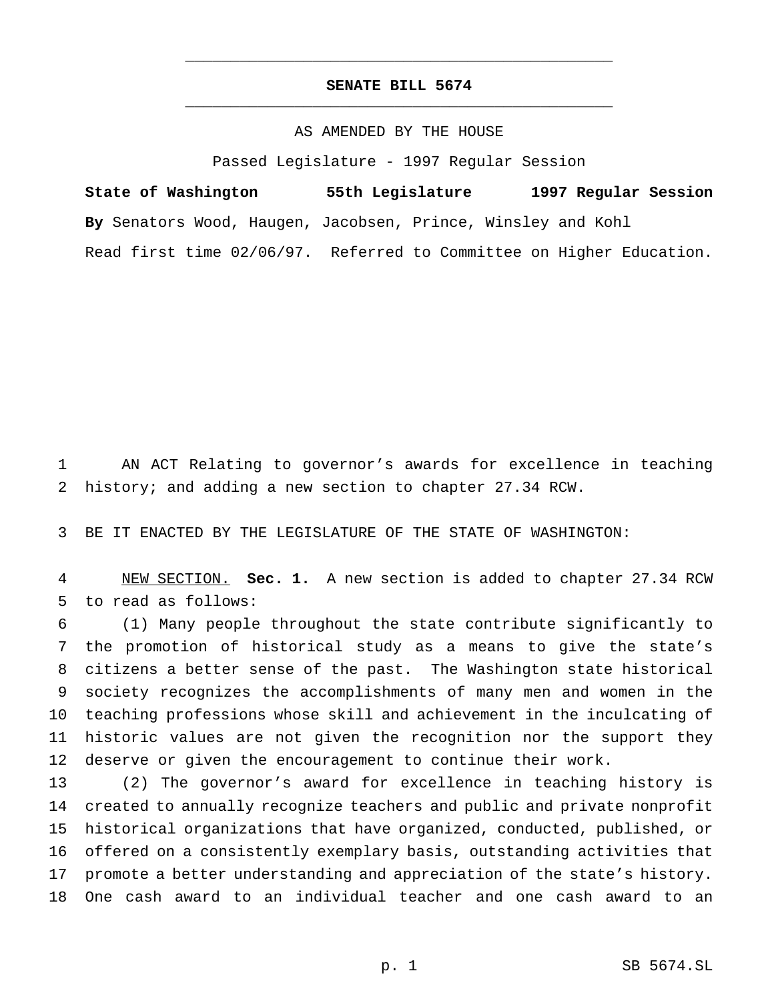## **SENATE BILL 5674** \_\_\_\_\_\_\_\_\_\_\_\_\_\_\_\_\_\_\_\_\_\_\_\_\_\_\_\_\_\_\_\_\_\_\_\_\_\_\_\_\_\_\_\_\_\_\_

\_\_\_\_\_\_\_\_\_\_\_\_\_\_\_\_\_\_\_\_\_\_\_\_\_\_\_\_\_\_\_\_\_\_\_\_\_\_\_\_\_\_\_\_\_\_\_

## AS AMENDED BY THE HOUSE

Passed Legislature - 1997 Regular Session

**State of Washington 55th Legislature 1997 Regular Session By** Senators Wood, Haugen, Jacobsen, Prince, Winsley and Kohl Read first time 02/06/97. Referred to Committee on Higher Education.

 AN ACT Relating to governor's awards for excellence in teaching history; and adding a new section to chapter 27.34 RCW.

BE IT ENACTED BY THE LEGISLATURE OF THE STATE OF WASHINGTON:

 NEW SECTION. **Sec. 1.** A new section is added to chapter 27.34 RCW to read as follows:

 (1) Many people throughout the state contribute significantly to the promotion of historical study as a means to give the state's citizens a better sense of the past. The Washington state historical society recognizes the accomplishments of many men and women in the teaching professions whose skill and achievement in the inculcating of historic values are not given the recognition nor the support they deserve or given the encouragement to continue their work.

 (2) The governor's award for excellence in teaching history is created to annually recognize teachers and public and private nonprofit historical organizations that have organized, conducted, published, or offered on a consistently exemplary basis, outstanding activities that promote a better understanding and appreciation of the state's history. One cash award to an individual teacher and one cash award to an